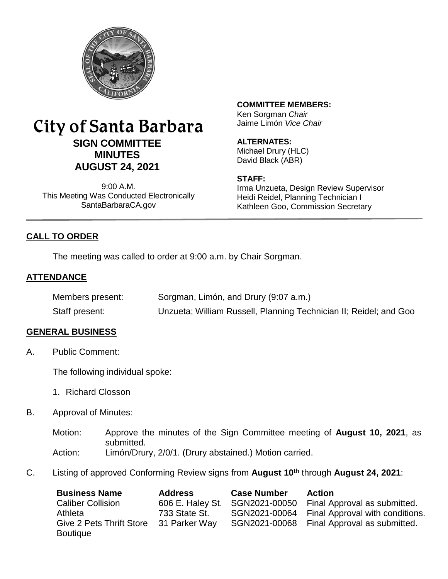

# City of Santa Barbara **SIGN COMMITTEE MINUTES AUGUST 24, 2021**

9:00 A.M. This Meeting Was Conducted Electronically [SantaBarbaraCA.gov](http://www.santabarbaraca.gov/)

## **COMMITTEE MEMBERS:**

Ken Sorgman *Chair* Jaime Limón *Vice Chair*

## **ALTERNATES:**

Michael Drury (HLC) David Black (ABR)

## **STAFF:**

Irma Unzueta, Design Review Supervisor Heidi Reidel, Planning Technician I Kathleen Goo, Commission Secretary

## **CALL TO ORDER**

The meeting was called to order at 9:00 a.m. by Chair Sorgman.

## **ATTENDANCE**

| Members present: | Sorgman, Limón, and Drury (9:07 a.m.)                             |
|------------------|-------------------------------------------------------------------|
| Staff present:   | Unzueta; William Russell, Planning Technician II; Reidel; and Goo |

## **GENERAL BUSINESS**

A. Public Comment:

The following individual spoke:

- 1. Richard Closson
- B. Approval of Minutes:
	- Motion: Approve the minutes of the Sign Committee meeting of **August 10, 2021**, as submitted. Action: Limón/Drury, 2/0/1. (Drury abstained.) Motion carried.
- C. Listing of approved Conforming Review signs from **August 10th** through **August 24, 2021**:

| <b>Business Name</b>            | <b>Address</b>   | <b>Case Number</b> | <b>Action</b>                   |
|---------------------------------|------------------|--------------------|---------------------------------|
| <b>Caliber Collision</b>        | 606 E. Haley St. | SGN2021-00050      | Final Approval as submitted.    |
| Athleta                         | 733 State St.    | SGN2021-00064      | Final Approval with conditions. |
| <b>Give 2 Pets Thrift Store</b> | 31 Parker Way    | SGN2021-00068      | Final Approval as submitted.    |
| <b>Boutique</b>                 |                  |                    |                                 |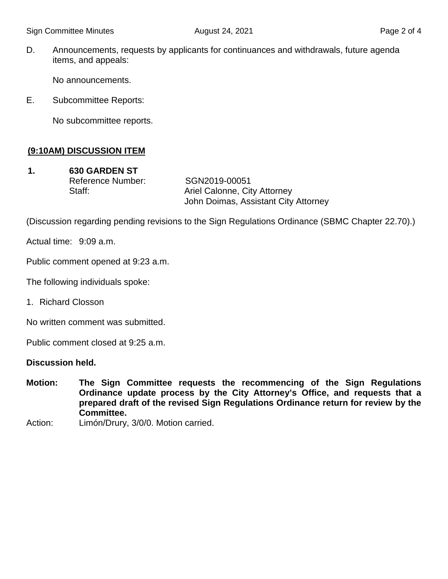D. Announcements, requests by applicants for continuances and withdrawals, future agenda items, and appeals:

No announcements.

E. Subcommittee Reports:

No subcommittee reports.

## **(9:10AM) DISCUSSION ITEM**

**1. 630 GARDEN ST** Reference Number: SGN2019-00051

Staff: Staff: Ariel Calonne, City Attorney John Doimas, Assistant City Attorney

(Discussion regarding pending revisions to the Sign Regulations Ordinance (SBMC Chapter 22.70).)

Actual time: 9:09 a.m.

Public comment opened at 9:23 a.m.

The following individuals spoke:

1. Richard Closson

No written comment was submitted.

Public comment closed at 9:25 a.m.

#### **Discussion held.**

- **Motion: The Sign Committee requests the recommencing of the Sign Regulations Ordinance update process by the City Attorney's Office, and requests that a prepared draft of the revised Sign Regulations Ordinance return for review by the Committee.**
- Action: Limón/Drury, 3/0/0. Motion carried.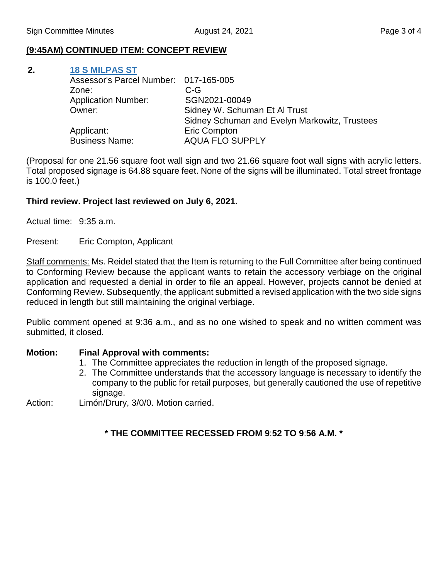#### **(9:45AM) CONTINUED ITEM: CONCEPT REVIEW**

#### **2. [18 S MILPAS ST](https://www.santabarbaraca.gov/civicax/filebank/blobdload.aspx?BlobID=238948)**

| Assessor's Parcel Number: 017-165-005 |                                               |
|---------------------------------------|-----------------------------------------------|
| Zone:                                 | $C-G$                                         |
| <b>Application Number:</b>            | SGN2021-00049                                 |
| Owner:                                | Sidney W. Schuman Et Al Trust                 |
|                                       | Sidney Schuman and Evelyn Markowitz, Trustees |
| Applicant:                            | <b>Eric Compton</b>                           |
| <b>Business Name:</b>                 | <b>AQUA FLO SUPPLY</b>                        |
|                                       |                                               |

(Proposal for one 21.56 square foot wall sign and two 21.66 square foot wall signs with acrylic letters. Total proposed signage is 64.88 square feet. None of the signs will be illuminated. Total street frontage is 100.0 feet.)

#### **Third review. Project last reviewed on July 6, 2021.**

Actual time: 9:35 a.m.

Present: Eric Compton, Applicant

Staff comments: Ms. Reidel stated that the Item is returning to the Full Committee after being continued to Conforming Review because the applicant wants to retain the accessory verbiage on the original application and requested a denial in order to file an appeal. However, projects cannot be denied at Conforming Review. Subsequently, the applicant submitted a revised application with the two side signs reduced in length but still maintaining the original verbiage.

Public comment opened at 9:36 a.m., and as no one wished to speak and no written comment was submitted, it closed.

#### **Motion: Final Approval with comments:**

- 1. The Committee appreciates the reduction in length of the proposed signage.
- 2. The Committee understands that the accessory language is necessary to identify the company to the public for retail purposes, but generally cautioned the use of repetitive signage.

Action: Limón/Drury, 3/0/0. Motion carried.

## **\* THE COMMITTEE RECESSED FROM 9**:**52 TO 9**:**56 A.M. \***